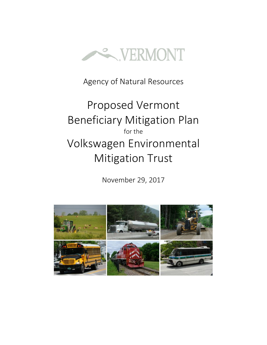

Agency of Natural Resources

# Proposed Vermont Beneficiary Mitigation Plan for the Volkswagen Environmental Mitigation Trust

November 29, 2017

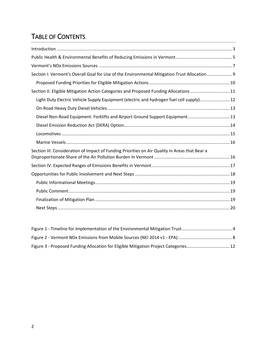### TABLE OF CONTENTS

| Section I: Vermont's Overall Goal for Use of the Environmental Mitigation Trust Allocation  9  |  |
|------------------------------------------------------------------------------------------------|--|
|                                                                                                |  |
| Section II: Eligible Mitigation Action Categories and Proposed Funding Allocations11           |  |
| Light Duty Electric Vehicle Supply Equipment (electric and hydrogen fuel cell supply) 12       |  |
|                                                                                                |  |
| Diesel Non-Road Equipment: Forklifts and Airport Ground Support Equipment 13                   |  |
|                                                                                                |  |
|                                                                                                |  |
|                                                                                                |  |
| Section III: Consideration of Impact of Funding Priorities on Air Quality in Areas that Bear a |  |
|                                                                                                |  |
|                                                                                                |  |
|                                                                                                |  |
|                                                                                                |  |
|                                                                                                |  |
|                                                                                                |  |
|                                                                                                |  |

| Figure 3 - Proposed Funding Allocation for Eligible Mitigation Project Categories 12 |  |
|--------------------------------------------------------------------------------------|--|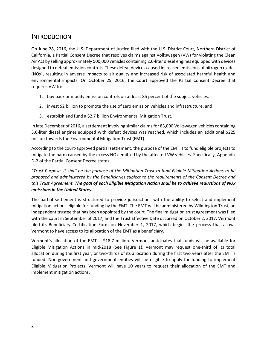### <span id="page-2-0"></span>**INTRODUCTION**

On June 28, 2016, the U.S. Department of Justice filed with the U.S. District Court, Northern District of California, a Partial Consent Decree that resolves claims against Volkswagen (VW) for violating the Clean Air Act by selling approximately 500,000 vehicles containing 2.0-liter diesel engines equipped with devices designed to defeat emission controls. These defeat devices caused increased emissions of nitrogen oxides (NOx), resulting in adverse impacts to air quality and increased risk of associated harmful health and environmental impacts. On October 25, 2016, the Court approved the Partial Consent Decree that requires VW to:

- 1. buy back or modify emission controls on at least 85 percent of the subject vehicles,
- 2. invest \$2 billion to promote the use of zero emission vehicles and infrastructure, and
- 3. establish and fund a \$2.7 billion Environmental Mitigation Trust.

In late December of 2016, a settlement involving similar claims for 83,000 Volkswagen vehicles containing 3.0-liter diesel engines equipped with defeat devices was reached, which includes an additional \$225 million towards the Environmental Mitigation Trust (EMT).

According to the court-approved partial settlement, the purpose of the EMT is to fund eligible projects to mitigate the harm caused by the excess NOx emitted by the affected VW vehicles. Specifically, Appendix D-2 of the Partial Consent Decree states:

*"Trust Purpose. It shall be the purpose of the Mitigation Trust to fund Eligible Mitigation Actions to be proposed and administered by the Beneficiaries subject to the requirements of the Consent Decree and this Trust Agreement. The goal of each Eligible Mitigation Action shall be to achieve reductions of NOx emissions in the United States."*

The partial settlement is structured to provide jurisdictions with the ability to select and implement mitigation actions eligible for funding by the EMT. The EMT will be administered by Wilmington Trust, an independent trustee that has been appointed by the court. The final mitigation trust agreement was filed with the court in September of 2017, and the Trust Effective Date occurred on October 2, 2017. Vermont filed its Beneficiary Certification Form on November 1, 2017, which begins the process that allows Vermont to have access to its allocation of the EMT as a beneficiary.

Vermont's allocation of the EMT is \$18.7 million. Vermont anticipates that funds will be available for Eligible Mitigation Actions in mid-2018 (See Figure 1). Vermont may request one-third of its total allocation during the first year, or two-thirds of its allocation during the first two years after the EMT is funded. Non-government and government entities will be eligible to apply for funding to implement Eligible Mitigation Projects. Vermont will have 10 years to request their allocation of the EMT and implement mitigation actions.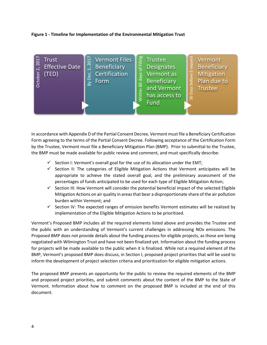#### <span id="page-3-0"></span>**Figure 1 - Timeline for Implementation of the Environmental Mitigation Trust**



In accordance with Appendix D of the Partial Consent Decree, Vermont must file a Beneficiary Certification Form agreeing to the terms of the Partial Consent Decree. Following acceptance of the Certification Form by the Trustee, Vermont must file a Beneficiary Mitigation Plan (BMP). Prior to submittal to the Trustee, the BMP must be made available for public review and comment, and must specifically describe:

- $\checkmark$  Section I: Vermont's overall goal for the use of its allocation under the EMT;
- $\checkmark$  Section II: The categories of Eligible Mitigation Actions that Vermont anticipates will be appropriate to achieve the stated overall goal, and the preliminary assessment of the percentages of funds anticipated to be used for each type of Eligible Mitigation Action;
- $\checkmark$  Section III: How Vermont will consider the potential beneficial impact of the selected Eligible Mitigation Actions on air quality in areas that bear a disproportionate share of the air pollution burden within Vermont; and
- $\checkmark$  Section IV: The expected ranges of emission benefits Vermont estimates will be realized by implementation of the Eligible Mitigation Actions to be prioritized.

Vermont's Proposed BMP includes all the required elements listed above and provides the Trustee and the public with an understanding of Vermont's current challenges in addressing NOx emissions. The Proposed BMP does not provide details about the funding process for eligible projects, as those are being negotiated with Wilmington Trust and have not been finalized yet. Information about the funding process for projects will be made available to the public when it is finalized. While not a required element of the BMP, Vermont's proposed BMP does discuss, in Section I, proposed project priorities that will be used to inform the development of project selection criteria and prioritization for eligible mitigation actions.

The proposed BMP presents an opportunity for the public to review the required elements of the BMP and proposed project priorities, and submit comments about the content of the BMP to the State of Vermont. Information about how to comment on the proposed BMP is included at the end of this document.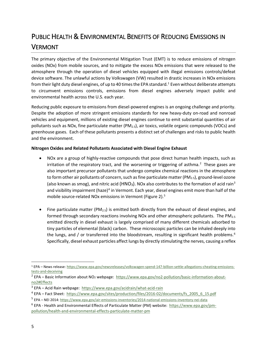# <span id="page-4-0"></span>PUBLIC HEALTH & ENVIRONMENTAL BENEFITS OF REDUCING EMISSIONS IN **VERMONT**

The primary objective of the Environmental Mitigation Trust (EMT) is to reduce emissions of nitrogen oxides (NOx) from mobile sources, and to mitigate the excess NOx emissions that were released to the atmosphere through the operation of diesel vehicles equipped with illegal emissions controls/defeat device software. The unlawful actions by Volkswagen (VW) resulted in drastic increases in NOx emissions from their light duty diesel engines, of up to 40 times the EPA standard. [1](#page-4-1) Even without deliberate attempts to circumvent emissions controls, emissions from diesel engines adversely impact public and environmental health across the U.S. each year.

Reducing public exposure to emissions from diesel-powered engines is an ongoing challenge and priority. Despite the adoption of more stringent emissions standards for new heavy-duty on-road and nonroad vehicles and equipment, millions of existing diesel engines continue to emit substantial quantities of air pollutants such as NOx, fine particulate matter (PM<sub>2.5</sub>), air toxics, volatile organic compounds (VOCs) and greenhouse gases. Each of these pollutants presents a distinct set of challenges and risks to public health and the environment.

#### **Nitrogen Oxides and Related Pollutants Associated with Diesel Engine Exhaust**

- NOx are a group of highly-reactive compounds that pose direct human health impacts, such as irritation of the respiratory tract, and the worsening or triggering of asthma.<sup>[2](#page-4-2)</sup> These gases are also important precursor pollutants that undergo complex chemical reactions in the atmosphere to form other air pollutants of concern, such as fine particulate matter (PM<sub>2.5</sub>), ground-level ozone (also known as smog), and nitric acid (HNO<sub>[3](#page-4-3)</sub>). NOx also contributes to the formation of acid rain<sup>3</sup> and visibility impairment (haze)<sup>[4](#page-4-4)</sup> in Vermont. Each year, diesel engines emit more than half of the mobile source-related NOx emissions in Vermont (Figure 2).[5](#page-4-5)
- Fine particulate matter ( $PM_{2.5}$ ) is emitted both directly from the exhaust of diesel engines, and formed through secondary reactions involving NOx and other atmospheric pollutants. The PM<sub>2.5</sub> emitted directly in diesel exhaust is largely comprised of many different chemicals adsorbed to tiny particles of elemental (black) carbon. These microscopic particles can be inhaled deeply into the lungs, and / or transferred into the bloodstream, resulting in significant health problems.<sup>[6](#page-4-6)</sup> Specifically, diesel exhaust particles affect lungs by directly stimulating the nerves, causing a reflex

<span id="page-4-1"></span> <sup>1</sup> EPA – News release: [https://www.epa.gov/newsreleases/volkswagen-spend-147-billion-settle-allegations-cheating-emissions](https://www.epa.gov/newsreleases/volkswagen-spend-147-billion-settle-allegations-cheating-emissions-tests-and-deceiving)[tests-and-deceiving](https://www.epa.gov/newsreleases/volkswagen-spend-147-billion-settle-allegations-cheating-emissions-tests-and-deceiving)

<span id="page-4-2"></span><sup>&</sup>lt;sup>2</sup> EPA – Basic Information about NO<sub>2</sub> webpage: [https://www.epa.gov/no2-pollution/basic-information-about](https://www.epa.gov/no2-pollution/basic-information-about-no2#Effects)[no2#Effects](https://www.epa.gov/no2-pollution/basic-information-about-no2#Effects)

<span id="page-4-3"></span><sup>3</sup> EPA – Acid Rain webpage:<https://www.epa.gov/acidrain/what-acid-rain>

<span id="page-4-4"></span><sup>4</sup> EPA – Fact Sheet: [https://www.epa.gov/sites/production/files/2016-02/documents/fs\\_2005\\_6\\_15.pdf](https://www.epa.gov/sites/production/files/2016-02/documents/fs_2005_6_15.pdf)

<span id="page-4-5"></span><sup>5</sup> EPA – NEI 2014:<https://www.epa.gov/air-emissions-inventories/2014-national-emissions-inventory-nei-data>

<span id="page-4-6"></span><sup>&</sup>lt;sup>6</sup> EPA - Health and Environmental Effects of Particulate Matter (PM) website: [https://www.epa.gov/pm](https://www.epa.gov/pm-pollution/health-and-environmental-effects-particulate-matter-pm)[pollution/health-and-environmental-effects-particulate-matter-pm](https://www.epa.gov/pm-pollution/health-and-environmental-effects-particulate-matter-pm)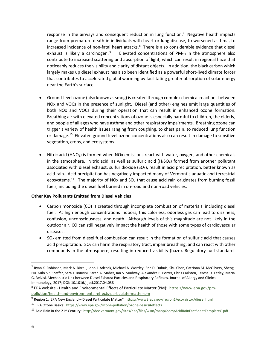response in the airways and consequent reduction in lung function.<sup>[7](#page-5-0)</sup> Negative health impacts range from premature death in individuals with heart or lung disease, to worsened asthma, to increased incidence of non-fatal heart attacks.<sup>[8](#page-5-1)</sup> There is also considerable evidence that diesel exhaust is likely a carcinogen.<sup>[9](#page-5-2)</sup> Elevated concentrations of PM<sub>2.5</sub> in the atmosphere also contribute to increased scattering and absorption of light, which can result in regional haze that noticeably reduces the visibility and clarity of distant objects. In addition, the black carbon which largely makes up diesel exhaust has also been identified as a powerful short-lived climate forcer that contributes to accelerated global warming by facilitating greater absorption of solar energy near the Earth's surface.

- Ground-level ozone (also known as smog) is created through complex chemical reactions between NOx and VOCs in the presence of sunlight. Diesel (and other) engines emit large quantities of both NOx and VOCs during their operation that can result in enhanced ozone formation. Breathing air with elevated concentrations of ozone is especially harmful to children, the elderly, and people of all ages who have asthma and other respiratory impairments. Breathing ozone can trigger a variety of health issues ranging from coughing, to chest pain, to reduced lung function or damage.<sup>10</sup> Elevated ground-level ozone concentrations also can result in damage to sensitive vegetation, crops, and ecosystems.
- Nitric acid ( $HNO<sub>3</sub>$ ) is formed when NOx emissions react with water, oxygen, and other chemicals in the atmosphere. Nitric acid, as well as sulfuric acid  $(H_2SO_4)$  formed from another pollutant associated with diesel exhaust, sulfur dioxide ( $SO<sub>2</sub>$ ), result in acid precipitation, better known as acid rain. Acid precipitation has negatively impacted many of Vermont's aquatic and terrestrial ecosystems.<sup>[11](#page-5-4)</sup> The majority of NOx and  $SO<sub>2</sub>$  that cause acid rain originates from burning fossil fuels, including the diesel fuel burned in on-road and non-road vehicles.

#### **Other Key Pollutants Emitted from Diesel Vehicles**

- Carbon monoxide (CO) is created through incomplete combustion of materials, including diesel fuel. At high enough concentrations indoors, this colorless, odorless gas can lead to dizziness, confusion, unconsciousness, and death. Although levels of this magnitude are not likely in the outdoor air, CO can still negatively impact the health of those with some types of cardiovascular diseases.
- $\bullet$  SO<sub>2</sub> emitted from diesel fuel combustion can result in the formation of sulfuric acid that causes acid precipitation.  $SO_2$  can harm the respiratory tract, impair breathing, and can react with other compounds in the atmosphere, resulting in reduced visibility (haze). Regulatory fuel standards

<span id="page-5-0"></span> $^7$  Ryan K. Robinson, Mark A. Birrell, John J. Adcock, Michael A. Wortley, Eric D. Dubuis, Shu Chen, Catriona M. McGilvery, Sheng Hu, Milo SP. Shaffer, Sara J. Bonvini, Sarah A. Maher, Ian S. Mudway, Alexandra E. Porter, Chris Carlsten, Teresa D. Tetley, Maria G. Belvisi. Mechanistic Link between Diesel Exhaust Particles and Respiratory Reflexes. Journal of Allergy and Clinical Immunology, 2017; DOI: 10.1016/j.jaci.2017.04.038

<span id="page-5-1"></span><sup>8</sup> EPA website - Health and Environmental Effects of Particulate Matter (PM): [https://www.epa.gov/pm](https://www.epa.gov/pm-pollution/health-and-environmental-effects-particulate-matter-pm)[pollution/health-and-environmental-effects-particulate-matter-pm](https://www.epa.gov/pm-pollution/health-and-environmental-effects-particulate-matter-pm)

<span id="page-5-2"></span><sup>9</sup> Region 1: EPA New England – Diesel Particulate Matter"<https://www3.epa.gov/region1/eco/airtox/diesel.html>

<span id="page-5-3"></span><sup>10</sup> EPA Ozone Basics: <https://www.epa.gov/ozone-pollution/ozone-basics#effects>

<span id="page-5-4"></span><sup>&</sup>lt;sup>11</sup> Acid Rain in the 21<sup>st</sup> Century:<http://dec.vermont.gov/sites/dec/files/wsm/mapp/docs/AcidRainFactSheetTemplateC.pdf>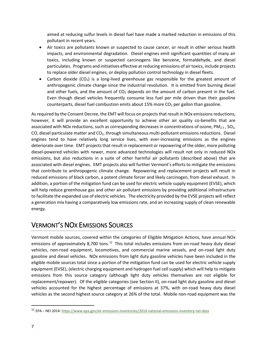aimed at reducing sulfur levels in diesel fuel have made a marked reduction in emissions of this pollutant in recent years.

- Air toxics are pollutants known or suspected to cause cancer, or result in other serious health impacts, and environmental degradation. Diesel engines emit significant quantities of many air toxics, including known or suspected carcinogens like benzene, formaldehyde, and diesel particulates. Programs and initiatives effective at reducing emissions of air toxics, include projects to replace older diesel engines, or deploy pollution control technology in diesel fleets.
- Carbon dioxide  $(CO_2)$  is a long-lived greenhouse gas responsible for the greatest amount of anthropogenic climate change since the industrial revolution. It is emitted from burning diesel and other fuels, and the amount of  $CO<sub>2</sub>$  depends on the amount of carbon present in the fuel. Even though diesel vehicles frequently consume less fuel per mile driven than their gasoline counterparts, diesel fuel combustion emits about 15% more  $CO<sub>2</sub>$  per gallon than gasoline.

As required by the Consent Decree, the EMT will focus on projects that result in NOx emissions reductions; however, it will provide an excellent opportunity to achieve other air quality co-benefits that are associated with NOx reductions, such as corresponding decreases in concentrations of ozone,  $PM_{2.5}$ , SO<sub>2</sub>, CO, diesel particulate matter and  $CO<sub>2</sub>$ , through simultaneous multi-pollutant emissions reductions. Diesel engines tend to have relatively long service lives, with ever-increasing emissions as the engines deteriorate over time. EMT projects that result in replacement or repowering of the older, more polluting diesel-powered vehicles with newer, more advanced technologies will result not only in reduced NOx emissions, but also reductions in a suite of other harmful air pollutants (described above) that are associated with diesel engines. EMT projects also will further Vermont's efforts to mitigate the emissions that contribute to anthropogenic climate change. Repowering and replacement projects will result in reduced emissions of black carbon, a potent climate forcer and likely carcinogen, from diesel exhaust. In addition, a portion of the mitigation fund can be used for electric vehicle supply equipment (EVSE), which will help reduce greenhouse gas and other air pollutant emissions by providing additional infrastructure to facilitate the expanded use of electric vehicles. The electricity provided by the EVSE projects will reflect a generation mix having a comparatively low emissions rate, and an increasing supply of clean renewable energy.

### <span id="page-6-0"></span>VERMONT'S NOX EMISSIONS SOURCES

Vermont mobile sources, covered within the categories of Eligible Mitigation Actions, have annual NOx emissions of approximately 8,700 tons.<sup>12</sup> This total includes emissions from on-road heavy duty diesel vehicles, non-road equipment, locomotives, and commercial marine vessels, and on-road light duty gasoline and diesel vehicles. NOx emissions from light duty gasoline vehicles have been included in the eligible mobile sources total since a portion of the mitigation fund can be used for electric vehicle supply equipment (EVSE), (electric charging equipment and hydrogen fuel cell supply) which will help to mitigate emissions from this source category (although light duty vehicles themselves are not eligible for replacement/repower). Of the eligible categories (see Section II), on-road light duty gasoline and diesel vehicles accounted for the highest percentage of emissions at 37%, with on-road heavy duty diesel vehicles as the second highest source category at 26% of the total. Mobile non-road equipment was the

<span id="page-6-1"></span> <sup>12</sup> EPA – NEI 2014[: https://www.epa.gov/air-emissions-inventories/2014-national-emissions-inventory-nei-data](https://www.epa.gov/air-emissions-inventories/2014-national-emissions-inventory-nei-data)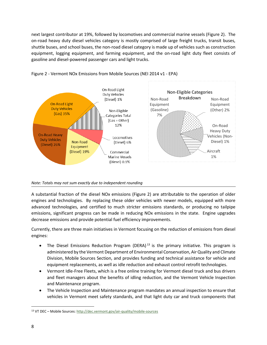next largest contributor at 19%, followed by locomotives and commercial marine vessels (Figure 2). The on-road heavy duty diesel vehicles category is mostly comprised of large freight trucks, transit buses, shuttle buses, and school buses, the non-road diesel category is made up of vehicles such as construction equipment, logging equipment, and farming equipment, and the on-road light duty fleet consists of gasoline and diesel-powered passenger cars and light trucks.



<span id="page-7-0"></span>Figure 2 - Vermont NOx Emissions from Mobile Sources (NEI 2014 v1 - EPA)

#### *Note: Totals may not sum exactly due to independent rounding*

A substantial fraction of the diesel NOx emissions (Figure 2) are attributable to the operation of older engines and technologies. By replacing these older vehicles with newer models, equipped with more advanced technologies, and certified to much stricter emissions standards, or producing no tailpipe emissions, significant progress can be made in reducing NOx emissions in the state. Engine upgrades decrease emissions and provide potential fuel efficiency improvements.

Currently, there are three main initiatives in Vermont focusing on the reduction of emissions from diesel engines:

- The Diesel Emissions Reduction Program (DERA)<sup>[13](#page-7-1)</sup> is the primary initiative. This program is administered by the Vermont Department of Environmental Conservation, Air Quality and Climate Division, Mobile Sources Section, and provides funding and technical assistance for vehicle and equipment replacements, as well as idle reduction and exhaust control retrofit technologies.
- Vermont Idle-Free Fleets, which is a free online training for Vermont diesel truck and bus drivers and fleet managers about the benefits of idling reduction, and the Vermont Vehicle Inspection and Maintenance program.
- The Vehicle Inspection and Maintenance program mandates an annual inspection to ensure that vehicles in Vermont meet safety standards, and that light duty car and truck components that

<span id="page-7-1"></span> <sup>13</sup> VT DEC – Mobile Sources[: http://dec.vermont.gov/air-quality/mobile-sources](http://dec.vermont.gov/air-quality/mobile-sources)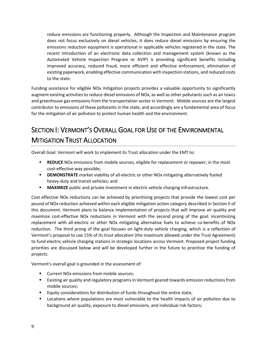reduce emissions are functioning properly. Although the Inspection and Maintenance program does not focus exclusively on diesel vehicles, it does reduce diesel emissions by ensuring the emissions reduction equipment is operational in applicable vehicles registered in the state. The recent introduction of an electronic data collection and management system (known as the Automated Vehicle Inspection Program or AVIP) is providing significant benefits including improved accuracy, reduced fraud, more efficient and effective enforcement, elimination of existing paperwork, enabling effective communication with inspection stations, and reduced costs to the state.

Funding assistance for eligible NOx mitigation projects provides a valuable opportunity to significantly augment existing activities to reduce diesel emissions of NOx, as well as other pollutants such as air toxics and greenhouse gas emissions from the transportation sector in Vermont. Mobile sources are the largest contributor to emissions of these pollutants in the state, and accordingly are a fundamental area of focus for the mitigation of air pollution to protect human health and the environment.

# <span id="page-8-0"></span>SECTION I: VERMONT'S OVERALL GOAL FOR USE OF THE ENVIRONMENTAL **MITIGATION TRUST ALLOCATION**

Overall Goal: Vermont will work to implement its Trust allocation under the EMT to:

- **REDUCE** NOx emissions from mobile sources, eligible for replacement or repower, in the most cost-effective way possible;
- **DEMONSTRATE** market viability of all-electric or other NOx mitigating alternatively fueled heavy-duty and transit vehicles; and
- **MAXIMIZE** public and private investment in electric vehicle charging infrastructure.

Cost effective NOx reductions can be achieved by prioritizing projects that provide the lowest cost per pound of NOx reduction achieved within each eligible mitigation action category described in Section II of this document. Vermont plans to balance implementation of projects that will improve air quality and maximize cost-effective NOx reductions in Vermont with the second prong of the goal: incentivizing replacement with all-electric or other NOx mitigating alternative fuels to achieve co-benefits of NOx reduction. The third prong of the goal focuses on light-duty vehicle charging, which is a reflection of Vermont's proposal to use 15% of its trust allocation (the maximum allowed under the Trust Agreement) to fund electric vehicle charging stations in strategic locations across Vermont. Proposed project funding priorities are discussed below and will be developed further in the future to prioritize the funding of projects.

Vermont's overall goal is grounded in the assessment of:

- **EXECUTE:** Current NOx emissions from mobile sources;
- Existing air quality and regulatory programs in Vermont geared towards emission reductions from mobile sources;
- Equity considerations for distribution of funds throughout the entire state;
- Locations where populations are most vulnerable to the health impacts of air pollution due to background air quality, exposure to diesel emissions, and individual risk factors;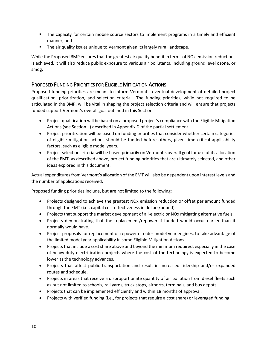- **The capacity for certain mobile source sectors to implement programs in a timely and efficient** manner; and
- **The air quality issues unique to Vermont given its largely rural landscape.**

While the Proposed BMP ensures that the greatest air quality benefit in terms of NOx emission reductions is achieved, it will also reduce public exposure to various air pollutants, including ground level ozone, or smog.

#### <span id="page-9-0"></span>PROPOSED FUNDING PRIORITIES FOR ELIGIBLE MITIGATION ACTIONS

Proposed funding priorities are meant to inform Vermont's eventual development of detailed project qualification, prioritization, and selection criteria. The funding priorities, while not required to be articulated in the BMP, will be vital in shaping the project selection criteria and will ensure that projects funded support Vermont's overall goal outlined in this Section.

- Project qualification will be based on a proposed project's compliance with the Eligible Mitigation Actions (see Section II) described in Appendix D of the partial settlement.
- Project prioritization will be based on funding priorities that consider whether certain categories of eligible mitigation actions should be funded before others, given time critical applicability factors, such as eligible model years.
- Project selection criteria will be based primarily on Vermont's overall goal for use of its allocation of the EMT, as described above, project funding priorities that are ultimately selected, and other ideas explored in this document.

Actual expenditures from Vermont's allocation of the EMT will also be dependent upon interest levels and the number of applications received.

Proposed funding priorities include, but are not limited to the following:

- Projects designed to achieve the greatest NOx emission reduction or offset per amount funded through the EMT (i.e., capital cost effectiveness in dollars/pound).
- Projects that support the market development of all-electric or NOx mitigating alternative fuels.
- Projects demonstrating that the replacement/repower if funded would occur earlier than it normally would have.
- Project proposals for replacement or repower of older model year engines, to take advantage of the limited model year applicability in some Eligible Mitigation Actions.
- Projects that include a cost share above and beyond the minimum required, especially in the case of heavy-duty electrification projects where the cost of the technology is expected to become lower as the technology advances.
- Projects that affect public transportation and result in increased ridership and/or expanded routes and schedule.
- Projects in areas that receive a disproportionate quantity of air pollution from diesel fleets such as but not limited to schools, rail yards, truck stops, airports, terminals, and bus depots.
- Projects that can be implemented efficiently and within 18 months of approval.
- Projects with verified funding (i.e., for projects that require a cost share) or leveraged funding.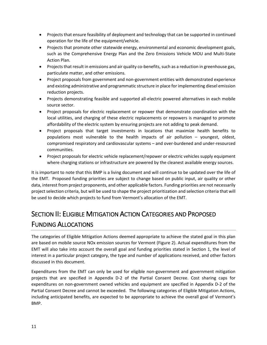- Projects that ensure feasibility of deployment and technology that can be supported in continued operation for the life of the equipment/vehicle.
- Projects that promote other statewide energy, environmental and economic development goals, such as the Comprehensive Energy Plan and the Zero Emissions Vehicle MOU and Multi-State Action Plan.
- Projects that result in emissions and air quality co-benefits, such as a reduction in greenhouse gas, particulate matter, and other emissions.
- Project proposals from government and non-government entities with demonstrated experience and existing administrative and programmatic structure in place for implementing diesel emission reduction projects.
- Projects demonstrating feasible and supported all-electric powered alternatives in each mobile source sector.
- Project proposals for electric replacement or repower that demonstrate coordination with the local utilities, and charging of these electric replacements or repowers is managed to promote affordability of the electric system by ensuring projects are not adding to peak demand.
- Project proposals that target investments in locations that maximize health benefits to populations most vulnerable to the health impacts of air pollution – youngest, oldest, compromised respiratory and cardiovascular systems – and over-burdened and under-resourced communities.
- Project proposals for electric vehicle replacement/repower or electric vehicles supply equipment where charging stations or infrastructure are powered by the cleanest available energy sources.

It is important to note that this BMP is a living document and will continue to be updated over the life of the EMT. Proposed funding priorities are subject to change based on public input, air quality or other data, interest from project proponents, and other applicable factors. Funding priorities are not necessarily project selection criteria, but will be used to shape the project prioritization and selection criteria that will be used to decide which projects to fund from Vermont's allocation of the EMT.

# <span id="page-10-0"></span>SECTION II: ELIGIBLE MITIGATION ACTION CATEGORIES AND PROPOSED FUNDING ALLOCATIONS

The categories of Eligible Mitigation Actions deemed appropriate to achieve the stated goal in this plan are based on mobile source NOx emission sources for Vermont (Figure 2). Actual expenditures from the EMT will also take into account the overall goal and funding priorities stated in Section 1, the level of interest in a particular project category, the type and number of applications received, and other factors discussed in this document.

Expenditures from the EMT can only be used for eligible non-government and government mitigation projects that are specified in Appendix D-2 of the Partial Consent Decree. Cost sharing caps for expenditures on non-government owned vehicles and equipment are specified in Appendix D-2 of the Partial Consent Decree and cannot be exceeded. The following categories of Eligible Mitigation Actions, including anticipated benefits, are expected to be appropriate to achieve the overall goal of Vermont's BMP.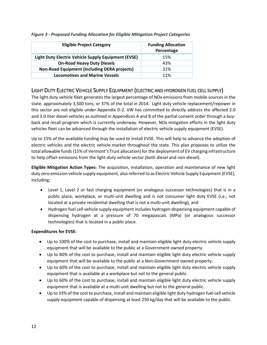| <b>Eligible Project Category</b>                           | <b>Funding Allocation</b><br>Percentage |
|------------------------------------------------------------|-----------------------------------------|
| <b>Light Duty Electric Vehicle Supply Equipment (EVSE)</b> | 15%                                     |
| <b>On-Road Heavy Duty Diesels</b>                          | 43%                                     |
| <b>Non-Road Equipment (including DERA projects)</b>        | 31%                                     |
| <b>Locomotives and Marine Vessels</b>                      | 11%                                     |

#### <span id="page-11-1"></span>*Figure 3 - Proposed Funding Allocation for Eligible Mitigation Project Categories*

#### <span id="page-11-0"></span>LIGHT DUTY ELECTRIC VEHICLE SUPPLY EQUIPMENT (ELECTRIC AND HYDROGEN FUEL CELL SUPPLY)

The light duty vehicle fleet generates the largest percentage of NOx emissions from mobile sources in the state, approximately 3,500 tons, or 37% of the total in 2014. Light duty vehicle replacement/repower in this sector are not eligible under Appendix D-2. VW has committed to directly address the affected 2.0 and 3.0-liter diesel vehicles as outlined in Appendices A and B of the partial consent order through a buyback and recall program which is currently underway. However, NOx mitigation efforts in the light duty vehicles fleet can be advanced through the installation of electric vehicle supply equipment (EVSE).

Up to 15% of the available funding may be used to install EVSE. This will help to advance the adoption of electric vehicles and the electric vehicle market throughout the state. This plan proposes to utilize the total allowable funds (15% of Vermont's Trust allocation) for the deployment of EV charging infrastructure to help offset emissions from the light-duty vehicle sector (both diesel and non-diesel).

**Eligible Mitigation Action Types:** The acquisition, installation, operation and maintenance of new light duty zero emission vehicle supply equipment, also referred to as Electric Vehicle Supply Equipment (EVSE), including:

- Level 1, Level 2 or fast charging equipment (or analogous successor technologies) that is in a public place, workplace, or multi-unit dwelling and is not consumer light duty EVSE (i.e., not located at a private residential dwelling that is not a multi-unit dwelling), and
- Hydrogen fuel cell vehicle supply equipment includes hydrogen dispensing equipment capable of dispensing hydrogen at a pressure of 70 megapascals (MPa) (or analogous successor technologies) that is located in a public place.

#### **Expenditures for EVSE:**

- Up to 100% of the cost to purchase, install and maintain eligible light duty electric vehicle supply equipment that will be available to the public at a Government owned property.
- Up to 80% of the cost to purchase, install and maintain eligible light duty electric vehicle supply equipment that will be available to the public at a Non-Government owned property.
- Up to 60% of the cost to purchase, install and maintain eligible light duty electric vehicle supply equipment that is available at a workplace but not to the general public.
- Up to 60% of the cost to purchase, install and maintain eligible light duty electric vehicle supply equipment that is available at a multi-unit dwelling but not to the general public.
- Up to 33% of the cost to purchase, install and maintain eligible light duty hydrogen fuel cell vehicle supply equipment capable of dispensing at least 250 kg/day that will be available to the public.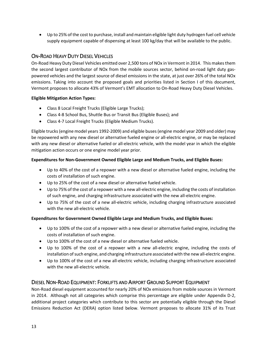• Up to 25% of the cost to purchase, install and maintain eligible light duty hydrogen fuel cell vehicle supply equipment capable of dispensing at least 100 kg/day that will be available to the public.

#### <span id="page-12-0"></span>ON-ROAD HEAVY DUTY DIESEL VEHICLES

On-Road Heavy Duty Diesel Vehicles emitted over 2,500 tons of NOx in Vermont in 2014. This makes them the second largest contributor of NOx from the mobile sources sector, behind on-road light duty gaspowered vehicles and the largest source of diesel emissions in the state, at just over 26% of the total NOx emissions. Taking into account the proposed goals and priorities listed in Section I of this document, Vermont proposes to allocate 43% of Vermont's EMT allocation to On-Road Heavy Duty Diesel Vehicles.

#### **Eligible Mitigation Action Types:**

- Class 8 Local Freight Trucks (Eligible Large Trucks);
- Class 4-8 School Bus, Shuttle Bus or Transit Bus (Eligible Buses); and
- Class 4-7 Local Freight Trucks (Eligible Medium Trucks).

Eligible trucks (engine model years 1992-2009) and eligible buses (engine model year 2009 and older) may be repowered with any new diesel or alternative fueled engine or all-electric engine, or may be replaced with any new diesel or alternative fueled or all-electric vehicle, with the model year in which the eligible mitigation action occurs or one engine model year prior.

#### **Expenditures for Non-Government Owned Eligible Large and Medium Trucks, and Eligible Buses:**

- Up to 40% of the cost of a repower with a new diesel or alternative fueled engine, including the costs of installation of such engine.
- Up to 25% of the cost of a new diesel or alternative fueled vehicle.
- Up to 75% of the cost of a repower with a new all-electric engine, including the costs of installation of such engine, and charging infrastructure associated with the new all-electric engine.
- Up to 75% of the cost of a new all-electric vehicle, including charging infrastructure associated with the new all-electric vehicle.

#### **Expenditures for Government Owned Eligible Large and Medium Trucks, and Eligible Buses:**

- Up to 100% of the cost of a repower with a new diesel or alternative fueled engine, including the costs of installation of such engine.
- Up to 100% of the cost of a new diesel or alternative fueled vehicle.
- Up to 100% of the cost of a repower with a new all-electric engine, including the costs of installation of such engine, and charging infrastructure associated with the new all-electric engine.
- Up to 100% of the cost of a new all-electric vehicle, including charging infrastructure associated with the new all-electric vehicle.

#### <span id="page-12-1"></span>DIESEL NON-ROAD EQUIPMENT: FORKLIFTS AND AIRPORT GROUND SUPPORT EQUIPMENT

Non-Road diesel equipment accounted for nearly 20% of NOx emissions from mobile sources in Vermont in 2014. Although not all categories which comprise this percentage are eligible under Appendix D-2, additional project categories which contribute to this sector are potentially eligible through the Diesel Emissions Reduction Act (DERA) option listed below. Vermont proposes to allocate 31% of its Trust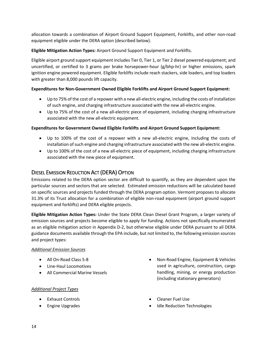allocation towards a combination of Airport Ground Support Equipment, Forklifts, and other non-road equipment eligible under the DERA option (described below).

**Eligible Mitigation Action Types:** Airport Ground Support Equipment and Forklifts.

Eligible airport ground support equipment includes Tier 0, Tier 1, or Tier 2 diesel powered equipment; and uncertified, or certified to 3 grams per brake horsepower-hour (g/bhp-hr) or higher emissions, spark ignition engine powered equipment. Eligible forklifts include reach stackers, side loaders, and top loaders with greater than 8,000 pounds lift capacity.

#### **Expenditures for Non-Government Owned Eligible Forklifts and Airport Ground Support Equipment:**

- Up to 75% of the cost of a repower with a new all-electric engine, including the costs of installation of such engine, and charging infrastructure associated with the new all-electric engine.
- Up to 75% of the cost of a new all-electric piece of equipment, including charging infrastructure associated with the new all-electric equipment.

#### **Expenditures for Government Owned Eligible Forklifts and Airport Ground Support Equipment:**

- Up to 100% of the cost of a repower with a new all-electric engine, including the costs of installation of such engine and charging infrastructure associated with the new all-electric engine.
- Up to 100% of the cost of a new all-electric piece of equipment, including charging infrastructure associated with the new piece of equipment.

#### <span id="page-13-0"></span>DIESEL EMISSION REDUCTION ACT (DERA) OPTION

Emissions related to the DERA option sector are difficult to quantify, as they are dependent upon the particular sources and sectors that are selected. Estimated emission reductions will be calculated based on specific sources and projects funded through the DERA program option. Vermont proposes to allocate 31.3% of its Trust allocation for a combination of eligible non-road equipment (airport ground support equipment and forklifts) and DERA eligible projects.

**Eligible Mitigation Action Types:** Under the State DERA Clean Diesel Grant Program, a larger variety of emission sources and projects become eligible to apply for funding. Actions not specifically enumerated as an eligible mitigation action in Appendix D-2, but otherwise eligible under DERA pursuant to all DERA guidance documents available through the EPA include, but not limited to, the following emission sources and project types:

#### *Additional Emission Sources*

- All On-Road Class 5-8
- Line-Haul Locomotives
- All Commercial Marine Vessels

#### *Additional Project Types*

- Exhaust Controls
- Engine Upgrades
- Non-Road Engine, Equipment & Vehicles used in agriculture, construction, cargo handling, mining, or energy production (including stationary generators)
- Cleaner Fuel Use
- Idle Reduction Technologies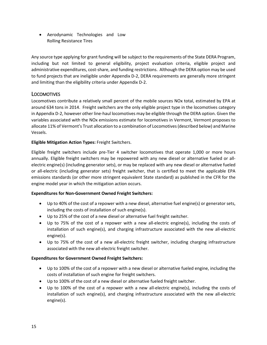• Aerodynamic Technologies and Low Rolling Resistance Tires

Any source type applying for grant funding will be subject to the requirements of the State DERA Program, including but not limited to general eligibility, project evaluation criteria, eligible project and administrative expenditures, cost-share, and funding restrictions. Although the DERA option may be used to fund projects that are ineligible under Appendix D-2, DERA requirements are generally more stringent and limiting than the eligibility criteria under Appendix D-2.

#### <span id="page-14-0"></span>LOCOMOTIVES

Locomotives contribute a relatively small percent of the mobile sources NOx total, estimated by EPA at around 634 tons in 2014. Freight switchers are the only eligible project type in the locomotives category in Appendix D-2, however other line-haul locomotives may be eligible through the DERA option. Given the variables associated with the NOx emissions estimate for locomotives in Vermont, Vermont proposes to allocate 11% of Vermont's Trust allocation to a combination of Locomotives (described below) and Marine Vessels.

#### **Eligible Mitigation Action Types:** Freight Switchers.

Eligible freight switchers include pre-Tier 4 switcher locomotives that operate 1,000 or more hours annually. Eligible freight switchers may be repowered with any new diesel or alternative fueled or allelectric engine(s) (including generator sets), or may be replaced with any new diesel or alternative fueled or all-electric (including generator sets) freight switcher, that is certified to meet the applicable EPA emissions standards (or other more stringent equivalent State standard) as published in the CFR for the engine model year in which the mitigation action occurs.

#### **Expenditures for Non-Government Owned Freight Switchers:**

- Up to 40% of the cost of a repower with a new diesel, alternative fuel engine(s) or generator sets, including the costs of installation of such engine(s).
- Up to 25% of the cost of a new diesel or alternative fuel freight switcher.
- Up to 75% of the cost of a repower with a new all-electric engine(s), including the costs of installation of such engine(s), and charging infrastructure associated with the new all-electric engine(s).
- Up to 75% of the cost of a new all-electric freight switcher, including charging infrastructure associated with the new all-electric freight switcher.

#### **Expenditures for Government Owned Freight Switchers:**

- Up to 100% of the cost of a repower with a new diesel or alternative fueled engine, including the costs of installation of such engine for freight switchers.
- Up to 100% of the cost of a new diesel or alternative fueled freight switcher.
- Up to 100% of the cost of a repower with a new all-electric engine(s), including the costs of installation of such engine(s), and charging infrastructure associated with the new all-electric engine(s).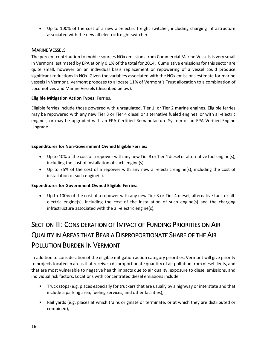• Up to 100% of the cost of a new all-electric freight switcher, including charging infrastructure associated with the new all-electric freight switcher.

#### <span id="page-15-0"></span>MARINE VESSELS

The percent contribution to mobile sources NOx emissions from Commercial Marine Vessels is very small in Vermont, estimated by EPA at only 0.1% of the total for 2014. Cumulative emissions for this sector are quite small, however on an individual basis replacement or repowering of a vessel could produce significant reductions in NOx. Given the variables associated with the NOx emissions estimate for marine vessels in Vermont, Vermont proposes to allocate 11% of Vermont's Trust allocation to a combination of Locomotives and Marine Vessels (described below).

#### **Eligible Mitigation Action Types:** Ferries.

Eligible ferries include those powered with unregulated, Tier 1, or Tier 2 marine engines. Eligible ferries may be repowered with any new Tier 3 or Tier 4 diesel or alternative fueled engines, or with all-electric engines, or may be upgraded with an EPA Certified Remanufacture System or an EPA Verified Engine Upgrade.

#### **Expenditures for Non-Government Owned Eligible Ferries:**

- Up to 40% of the cost of a repower with any new Tier 3 or Tier 4 diesel or alternative fuel engine(s), including the cost of installation of such engine(s).
- Up to 75% of the cost of a repower with any new all-electric engine(s), including the cost of installation of such engine(s).

#### **Expenditures for Government Owned Eligible Ferries:**

• Up to 100% of the cost of a repower with any new Tier 3 or Tier 4 diesel, alternative fuel, or allelectric engine(s), including the cost of the installation of such engine(s) and the charging infrastructure associated with the all-electric engine(s).

# <span id="page-15-1"></span>SECTION III: CONSIDERATION OF IMPACT OF FUNDING PRIORITIES ON AIR QUALITY IN AREAS THAT BEAR A DISPROPORTIONATE SHARE OF THE AIR POLLUTION BURDEN IN VERMONT

In addition to consideration of the eligible mitigation action category priorities, Vermont will give priority to projects located in areas that receive a disproportionate quantity of air pollution from diesel fleets, and that are most vulnerable to negative health impacts due to air quality, exposure to diesel emissions, and individual risk factors. Locations with concentrated diesel emissions include:

- Truck stops (e.g. places especially for truckers that are usually by a highway or interstate and that include a parking area, fueling services, and other facilities),
- Rail yards (e.g. places at which trains originate or terminate, or at which they are distributed or combined),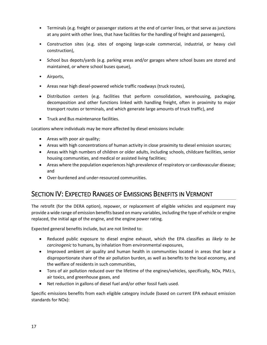- Terminals (e.g. freight or passenger stations at the end of carrier lines, or that serve as junctions at any point with other lines, that have facilities for the handling of freight and passengers),
- Construction sites (e.g. sites of ongoing large-scale commercial, industrial, or heavy civil construction),
- School bus depots/yards (e.g. parking areas and/or garages where school buses are stored and maintained, or where school buses queue),
- Airports,
- Areas near high diesel-powered vehicle traffic roadways (truck routes),
- Distribution centers (e.g. facilities that perform consolidation, warehousing, packaging, decomposition and other functions linked with handling freight, often in proximity to major transport routes or terminals, and which generate large amounts of truck traffic), and
- Truck and Bus maintenance facilities.

Locations where individuals may be more affected by diesel emissions include:

- Areas with poor air quality;
- Areas with high concentrations of human activity in close proximity to diesel emission sources;
- Areas with high numbers of children or older adults, including schools, childcare facilities, senior housing communities, and medical or assisted living facilities;
- Areas where the population experiences high prevalence of respiratory or cardiovascular disease; and
- Over-burdened and under-resourced communities.

### <span id="page-16-0"></span>SECTION IV: EXPECTED RANGES OF EMISSIONS BENEFITS IN VERMONT

The retrofit (for the DERA option), repower, or replacement of eligible vehicles and equipment may provide a wide range of emission benefits based on many variables, including the type of vehicle or engine replaced, the initial age of the engine, and the engine power rating.

Expected general benefits include, but are not limited to:

- Reduced public exposure to diesel engine exhaust, which the EPA classifies as *likely to be carcinogenic* to humans, by inhalation from environmental exposures,
- Improved ambient air quality and human health in communities located in areas that bear a disproportionate share of the air pollution burden, as well as benefits to the local economy, and the welfare of residents in such communities,
- Tons of air pollution reduced over the lifetime of the engines/vehicles, specifically, NOx, PM2.5, air toxics, and greenhouse gases, and
- Net reduction in gallons of diesel fuel and/or other fossil fuels used.

Specific emissions benefits from each eligible category include (based on current EPA exhaust emission standards for NOx):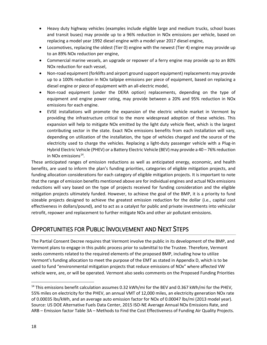- Heavy duty highway vehicles (examples include eligible large and medium trucks, school buses and transit buses) may provide up to a 96% reduction in NOx emissions per vehicle, based on replacing a model year 1992 diesel engine with a model year 2017 diesel engine,
- Locomotives, replacing the oldest (Tier 0) engine with the newest (Tier 4) engine may provide up to an 89% NOx reduction per engine,
- Commercial marine vessels, an upgrade or repower of a ferry engine may provide up to an 80% NOx reduction for each vessel,
- Non-road equipment (forklifts and airport ground support equipment) replacements may provide up to a 100% reduction in NOx tailpipe emissions per piece of equipment, based on replacing a diesel engine or piece of equipment with an all-electric model,
- Non-road equipment (under the DERA option) replacements, depending on the type of equipment and engine power rating, may provide between a 20% and 95% reduction in NOx emissions for each engine.
- EVSE installations will promote the expansion of the electric vehicle market in Vermont by providing the infrastructure critical to the more widespread adoption of these vehicles. This expansion will help to mitigate NOx emitted by the light duty vehicle fleet, which is the largest contributing sector in the state. Exact NOx emissions benefits from each installation will vary, depending on utilization of the installation, the type of vehicles charged and the source of the electricity used to charge the vehicles. Replacing a light-duty passenger vehicle with a Plug-in Hybrid Electric Vehicle (PHEV) or a Battery Electric Vehicle (BEV) may provide a 40 – 76% reduction in NO<sub>x</sub> emissions<sup>14</sup>.

These anticipated ranges of emission reductions as well as anticipated energy, economic, and health benefits, are used to inform the plan's funding priorities, categories of eligible mitigation projects, and funding allocation considerations for each category of eligible mitigation projects. It is important to note that the range of emission benefits mentioned above are for individual engines and actual NOx emissions reductions will vary based on the type of projects received for funding consideration and the eligible mitigation projects ultimately funded. However, to achieve the goal of the BMP, it is a priority to fund sizeable projects designed to achieve the greatest emission reduction for the dollar (i.e., capital cost effectiveness in dollars/pound), and to act as a catalyst for public and private investments into vehicular retrofit, repower and replacement to further mitigate NOx and other air pollutant emissions.

### <span id="page-17-0"></span>OPPORTUNITIES FOR PUBLIC INVOLVEMENT AND NEXT STEPS

The Partial Consent Decree requires that Vermont involve the public in its development of the BMP, and Vermont plans to engage in this public process prior to submittal to the Trustee. Therefore, Vermont seeks comments related to the required elements of the proposed BMP, including how to utilize Vermont's funding allocation to meet the purpose of the EMT as stated in Appendix D, which is to be used to fund "environmental mitigation projects that reduce emissions of NOx" where affected VW vehicle were, are, or will be operated. Vermont also seeks comments on the Proposed Funding Priorities

<span id="page-17-1"></span><sup>&</sup>lt;sup>14</sup> This emissions benefit calculation assumes 0.32 kWh/mi for the BEV and 0.367 kWh/mi for the PHEV, 55% miles on electricity for the PHEV, an annual VMT of 12,000 miles, an electricity generation NOx rate of 0.00035 lbs/kWh, and an average auto emission factor for NOx of 0.00047 lbs/mi (2013 model year). Source: US DOE Alternative Fuels Data Center, 2015 ISO-NE Average Annual NOx Emissions Rate, and ARB – Emission factor Table 3A – Methods to Find the Cost Effectiveness of Funding Air Quality Projects.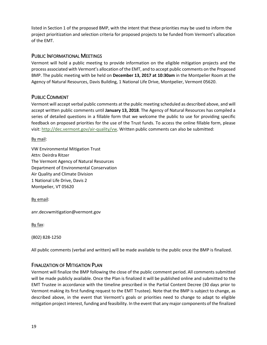listed in Section 1 of the proposed BMP, with the intent that these priorities may be used to inform the project prioritization and selection criteria for proposed projects to be funded from Vermont's allocation of the EMT.

#### <span id="page-18-0"></span>PUBLIC INFORMATIONAL MEETINGS

Vermont will hold a public meeting to provide information on the eligible mitigation projects and the process associated with Vermont's allocation of the EMT, and to accept public comments on the Proposed BMP. The public meeting with be held on **December 13, 2017 at 10:30am** in the Montpelier Room at the Agency of Natural Resources, Davis Building, 1 National Life Drive, Montpelier, Vermont 05620.

#### <span id="page-18-1"></span>PUBLIC COMMENT

Vermont will accept verbal public comments at the public meeting scheduled as described above, and will accept written public comments until **January 13, 2018**. The Agency of Natural Resources has compiled a series of detailed questions in a fillable form that we welcome the public to use for providing specific feedback on proposed priorities for the use of the Trust funds. To access the online fillable form, please visit[: http://dec.vermont.gov/air-quality/vw.](http://dec.vermont.gov/air-quality/vw) Written public comments can also be submitted:

By mail:

VW Environmental Mitigation Trust Attn: Deirdra Ritzer The Vermont Agency of Natural Resources Department of Environmental Conservation Air Quality and Climate Division 1 National Life Drive, Davis 2 Montpelier, VT 05620

By email:

anr.decvwmitigation@vermont.gov

By fax:

(802) 828-1250

<span id="page-18-2"></span>All public comments (verbal and written) will be made available to the public once the BMP is finalized.

#### FINALIZATION OF MITIGATION PLAN

Vermont will finalize the BMP following the close of the public comment period. All comments submitted will be made publicly available. Once the Plan is finalized it will be published online and submitted to the EMT Trustee in accordance with the timeline prescribed in the Partial Content Decree (30 days prior to Vermont making its first funding request to the EMT Trustee). Note that the BMP is subject to change, as described above, in the event that Vermont's goals or priorities need to change to adapt to eligible mitigation project interest, funding and feasibility. In the event that any major components of the finalized